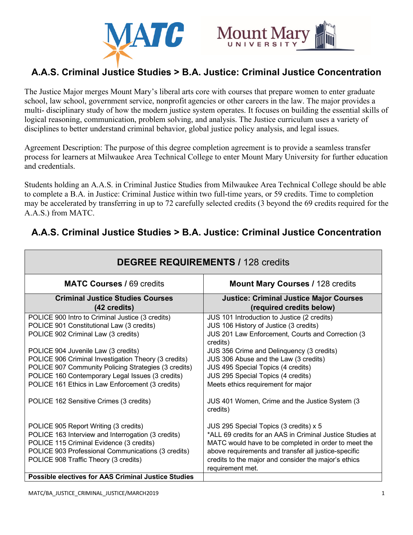



# **A.A.S. Criminal Justice Studies > B.A. Justice: Criminal Justice Concentration**

The Justice Major merges Mount Mary's liberal arts core with courses that prepare women to enter graduate school, law school, government service, nonprofit agencies or other careers in the law. The major provides a multi- disciplinary study of how the modern justice system operates. It focuses on building the essential skills of logical reasoning, communication, problem solving, and analysis. The Justice curriculum uses a variety of disciplines to better understand criminal behavior, global justice policy analysis, and legal issues.

Agreement Description: The purpose of this degree completion agreement is to provide a seamless transfer process for learners at Milwaukee Area Technical College to enter Mount Mary University for further education and credentials.

Students holding an A.A.S. in Criminal Justice Studies from Milwaukee Area Technical College should be able to complete a B.A. in Justice: Criminal Justice within two full-time years, or 59 credits. Time to completion may be accelerated by transferring in up to 72 carefully selected credits (3 beyond the 69 credits required for the A.A.S.) from MATC.

# **A.A.S. Criminal Justice Studies > B.A. Justice: Criminal Justice Concentration**

| <b>DEGREE REQUIREMENTS / 128 credits</b>                                                                                                                                                                                                                                                                                                                                                                                                       |                                                                                                                                                                                                                                                                                                                                                                                                                               |
|------------------------------------------------------------------------------------------------------------------------------------------------------------------------------------------------------------------------------------------------------------------------------------------------------------------------------------------------------------------------------------------------------------------------------------------------|-------------------------------------------------------------------------------------------------------------------------------------------------------------------------------------------------------------------------------------------------------------------------------------------------------------------------------------------------------------------------------------------------------------------------------|
| <b>MATC Courses / 69 credits</b>                                                                                                                                                                                                                                                                                                                                                                                                               | <b>Mount Mary Courses / 128 credits</b>                                                                                                                                                                                                                                                                                                                                                                                       |
| <b>Criminal Justice Studies Courses</b><br>(42 credits)                                                                                                                                                                                                                                                                                                                                                                                        | <b>Justice: Criminal Justice Major Courses</b><br>(required credits below)                                                                                                                                                                                                                                                                                                                                                    |
| POLICE 900 Intro to Criminal Justice (3 credits)<br>POLICE 901 Constitutional Law (3 credits)<br>POLICE 902 Criminal Law (3 credits)<br>POLICE 904 Juvenile Law (3 credits)<br>POLICE 906 Criminal Investigation Theory (3 credits)<br>POLICE 907 Community Policing Strategies (3 credits)<br>POLICE 160 Contemporary Legal Issues (3 credits)<br>POLICE 161 Ethics in Law Enforcement (3 credits)<br>POLICE 162 Sensitive Crimes (3 credits) | JUS 101 Introduction to Justice (2 credits)<br>JUS 106 History of Justice (3 credits)<br>JUS 201 Law Enforcement, Courts and Correction (3<br>credits)<br>JUS 356 Crime and Delinquency (3 credits)<br>JUS 306 Abuse and the Law (3 credits)<br>JUS 495 Special Topics (4 credits)<br>JUS 295 Special Topics (4 credits)<br>Meets ethics requirement for major<br>JUS 401 Women, Crime and the Justice System (3)<br>credits) |
| POLICE 905 Report Writing (3 credits)<br>POLICE 163 Interview and Interrogation (3 credits)<br>POLICE 115 Criminal Evidence (3 credits)<br>POLICE 903 Professional Communications (3 credits)<br>POLICE 908 Traffic Theory (3 credits)<br><b>Possible electives for AAS Criminal Justice Studies</b>                                                                                                                                           | JUS 295 Special Topics (3 credits) x 5<br>*ALL 69 credits for an AAS in Criminal Justice Studies at<br>MATC would have to be completed in order to meet the<br>above requirements and transfer all justice-specific<br>credits to the major and consider the major's ethics<br>requirement met.                                                                                                                               |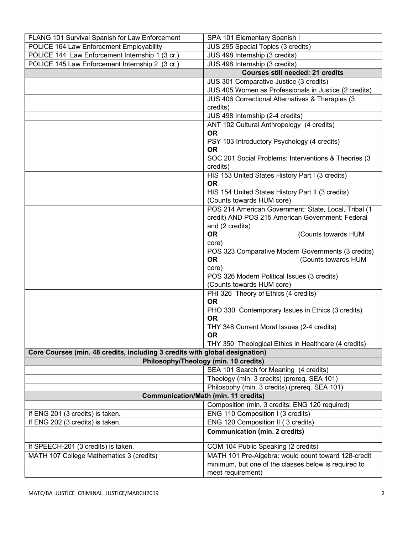| FLANG 101 Survival Spanish for Law Enforcement                              | SPA 101 Elementary Spanish I                          |
|-----------------------------------------------------------------------------|-------------------------------------------------------|
| POLICE 164 Law Enforcement Employability                                    | JUS 295 Special Topics (3 credits)                    |
| POLICE 144 Law Enforcement Internship 1 (3 cr.)                             | JUS 498 Internship (3 credits)                        |
| POLICE 145 Law Enforcement Internship 2 (3 cr.)                             | JUS 498 Internship (3 credits)                        |
|                                                                             | <b>Courses still needed: 21 credits</b>               |
|                                                                             | JUS 301 Comparative Justice (3 credits)               |
|                                                                             | JUS 405 Women as Professionals in Justice (2 credits) |
|                                                                             | JUS 406 Correctional Alternatives & Therapies (3      |
|                                                                             | credits)                                              |
|                                                                             | JUS 498 Internship (2-4 credits)                      |
|                                                                             | ANT 102 Cultural Anthropology (4 credits)             |
|                                                                             | <b>OR</b>                                             |
|                                                                             | PSY 103 Introductory Psychology (4 credits)           |
|                                                                             | <b>OR</b>                                             |
|                                                                             | SOC 201 Social Problems: Interventions & Theories (3  |
|                                                                             | credits)                                              |
|                                                                             | HIS 153 United States History Part I (3 credits)      |
|                                                                             | <b>OR</b>                                             |
|                                                                             | HIS 154 United States History Part II (3 credits)     |
|                                                                             | (Counts towards HUM core)                             |
|                                                                             | POS 214 American Government: State, Local, Tribal (1  |
|                                                                             | credit) AND POS 215 American Government: Federal      |
|                                                                             | and (2 credits)                                       |
|                                                                             | <b>OR</b><br>(Counts towards HUM                      |
|                                                                             | core)                                                 |
|                                                                             | POS 323 Comparative Modern Governments (3 credits)    |
|                                                                             | <b>OR</b><br>(Counts towards HUM                      |
|                                                                             | core)                                                 |
|                                                                             | POS 326 Modern Political Issues (3 credits)           |
|                                                                             | (Counts towards HUM core)                             |
|                                                                             | PHI 326 Theory of Ethics (4 credits)<br><b>OR</b>     |
|                                                                             | PHO 330 Contemporary Issues in Ethics (3 credits)     |
|                                                                             | <b>OR</b>                                             |
|                                                                             | THY 348 Current Moral Issues (2-4 credits)            |
|                                                                             | <b>OR</b>                                             |
|                                                                             | THY 350 Theological Ethics in Healthcare (4 credits)  |
| Core Courses (min. 48 credits, including 3 credits with global designation) |                                                       |
| Philosophy/Theology (min. 10 credits)                                       |                                                       |
|                                                                             | SEA 101 Search for Meaning (4 credits)                |
|                                                                             | Theology (min. 3 credits) (prereq. SEA 101)           |
|                                                                             | Philosophy (min. 3 credits) (prereq. SEA 101)         |
| <b>Communication/Math (min. 11 credits)</b>                                 |                                                       |
|                                                                             | Composition (min. 3 credits: ENG 120 required)        |
| If ENG 201 (3 credits) is taken.                                            | ENG 110 Composition I (3 credits)                     |
| If ENG 202 (3 credits) is taken.                                            | ENG 120 Composition II (3 credits)                    |
|                                                                             | <b>Communication (min. 2 credits)</b>                 |
| If SPEECH-201 (3 credits) is taken.                                         | COM 104 Public Speaking (2 credits)                   |
| MATH 107 College Mathematics 3 (credits)                                    | MATH 101 Pre-Algebra: would count toward 128-credit   |
|                                                                             | minimum, but one of the classes below is required to  |
|                                                                             | meet requirement)                                     |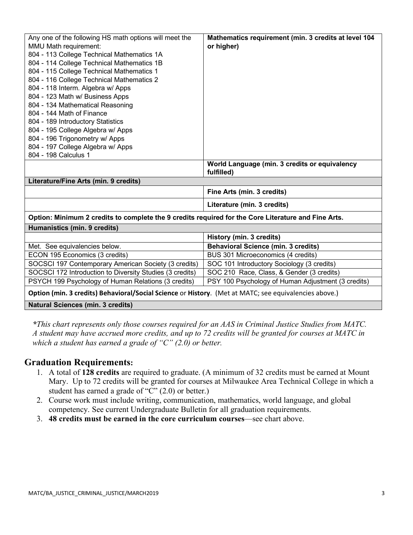| Any one of the following HS math options will meet the                                                | Mathematics requirement (min. 3 credits at level 104        |  |
|-------------------------------------------------------------------------------------------------------|-------------------------------------------------------------|--|
| MMU Math requirement:                                                                                 | or higher)                                                  |  |
| 804 - 113 College Technical Mathematics 1A                                                            |                                                             |  |
| 804 - 114 College Technical Mathematics 1B                                                            |                                                             |  |
| 804 - 115 College Technical Mathematics 1                                                             |                                                             |  |
| 804 - 116 College Technical Mathematics 2                                                             |                                                             |  |
| 804 - 118 Interm. Algebra w/ Apps                                                                     |                                                             |  |
| 804 - 123 Math w/ Business Apps                                                                       |                                                             |  |
| 804 - 134 Mathematical Reasoning                                                                      |                                                             |  |
| 804 - 144 Math of Finance                                                                             |                                                             |  |
| 804 - 189 Introductory Statistics                                                                     |                                                             |  |
| 804 - 195 College Algebra w/ Apps                                                                     |                                                             |  |
| 804 - 196 Trigonometry w/ Apps                                                                        |                                                             |  |
| 804 - 197 College Algebra w/ Apps                                                                     |                                                             |  |
| 804 - 198 Calculus 1                                                                                  |                                                             |  |
|                                                                                                       | World Language (min. 3 credits or equivalency<br>fulfilled) |  |
| Literature/Fine Arts (min. 9 credits)                                                                 |                                                             |  |
|                                                                                                       | Fine Arts (min. 3 credits)                                  |  |
|                                                                                                       | Literature (min. 3 credits)                                 |  |
| Option: Minimum 2 credits to complete the 9 credits required for the Core Literature and Fine Arts.   |                                                             |  |
| Humanistics (min. 9 credits)                                                                          |                                                             |  |
|                                                                                                       | History (min. 3 credits)                                    |  |
| Met. See equivalencies below.                                                                         | <b>Behavioral Science (min. 3 credits)</b>                  |  |
| ECON 195 Economics (3 credits)                                                                        | BUS 301 Microeconomics (4 credits)                          |  |
| SOCSCI 197 Contemporary American Society (3 credits)                                                  | SOC 101 Introductory Sociology (3 credits)                  |  |
| SOCSCI 172 Introduction to Diversity Studies (3 credits)                                              | SOC 210 Race, Class, & Gender (3 credits)                   |  |
| PSYCH 199 Psychology of Human Relations (3 credits)                                                   | PSY 100 Psychology of Human Adjustment (3 credits)          |  |
| Option (min. 3 credits) Behavioral/Social Science or History. (Met at MATC; see equivalencies above.) |                                                             |  |
| <b>Natural Sciences (min. 3 credits)</b>                                                              |                                                             |  |

*\*This chart represents only those courses required for an AAS in Criminal Justice Studies from MATC. A student may have accrued more credits, and up to 72 credits will be granted for courses at MATC in which a student has earned a grade of "C" (2.0) or better.*

### **Graduation Requirements:**

- 1. A total of **128 credits** are required to graduate. (A minimum of 32 credits must be earned at Mount Mary. Up to 72 credits will be granted for courses at Milwaukee Area Technical College in which a student has earned a grade of "C" (2.0) or better.)
- 2. Course work must include writing, communication, mathematics, world language, and global competency. See current Undergraduate Bulletin for all graduation requirements.
- 3. **48 credits must be earned in the core curriculum courses**—see chart above.